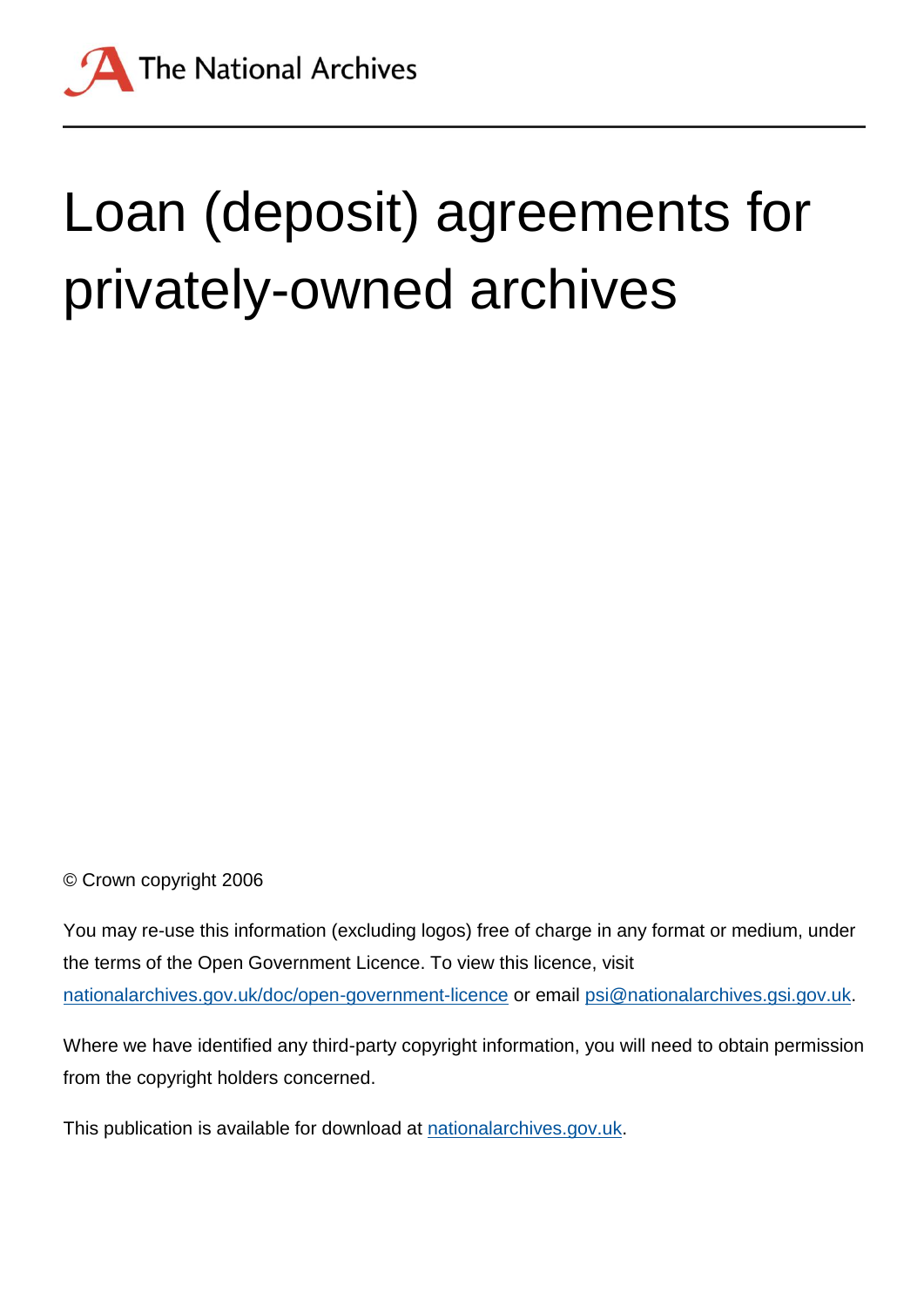

# Loan (deposit) agreements for privately-owned archives

© Crown copyright 2006

You may re-use this information (excluding logos) free of charge in any format or medium, under the terms of the Open Government Licence. To view this licence, visit [nationalarchives.gov.uk/doc/open-government-licence](http://nationalarchives.gov.uk/doc/open-government-licence) or email [psi@nationalarchives.gsi.gov.uk.](mailto:psi@nationalarchives.gsi.gov.uk)

Where we have identified any third-party copyright information, you will need to obtain permission from the copyright holders concerned.

This publication is available for download at [nationalarchives.gov.uk.](http://nationalarchives.gov.uk/)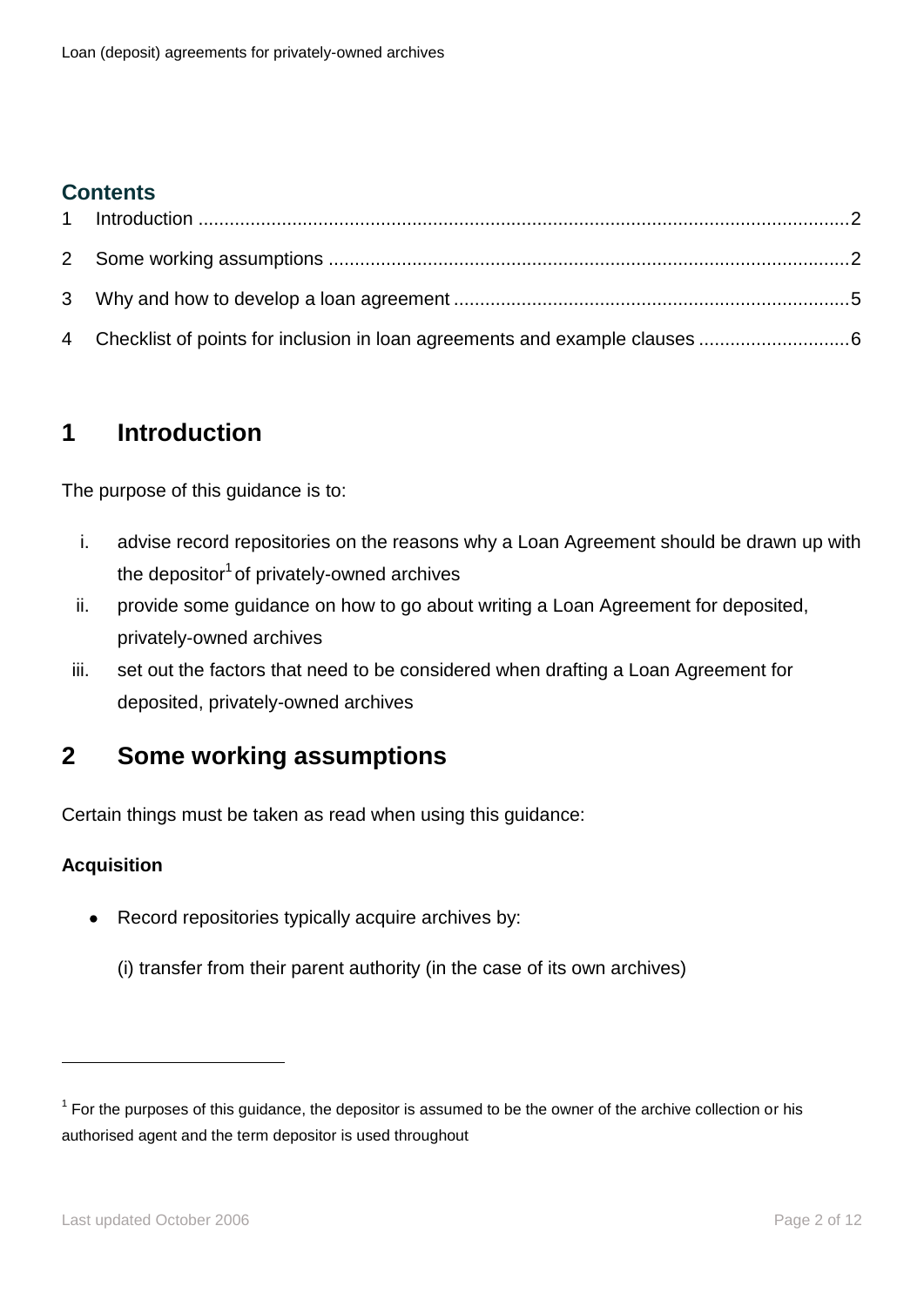## **Contents**

# <span id="page-1-0"></span>**1 Introduction**

The purpose of this guidance is to:

- i. advise record repositories on the reasons why a Loan Agreement should be drawn up with the depositor<sup>1</sup> of privately-owned archives
- ii. provide some guidance on how to go about writing a Loan Agreement for deposited, privately-owned archives
- iii. set out the factors that need to be considered when drafting a Loan Agreement for deposited, privately-owned archives

# <span id="page-1-1"></span>**2 Some working assumptions**

Certain things must be taken as read when using this guidance:

#### **Acquisition**

<u>.</u>

- Record repositories typically acquire archives by:
	- (i) transfer from their parent authority (in the case of its own archives)

 $1$  For the purposes of this guidance, the depositor is assumed to be the owner of the archive collection or his authorised agent and the term depositor is used throughout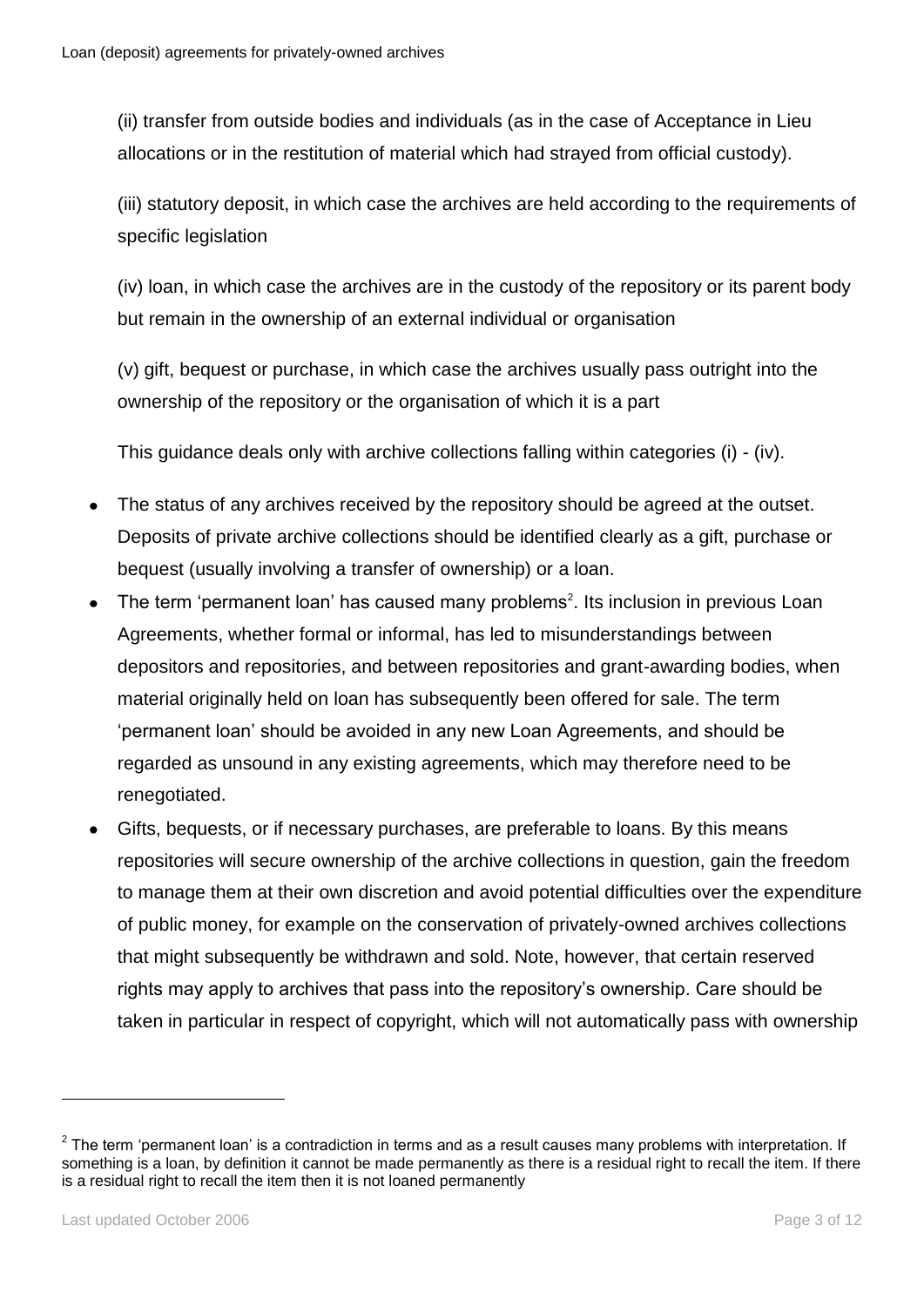(ii) transfer from outside bodies and individuals (as in the case of Acceptance in Lieu allocations or in the restitution of material which had strayed from official custody).

(iii) statutory deposit, in which case the archives are held according to the requirements of specific legislation

(iv) loan, in which case the archives are in the custody of the repository or its parent body but remain in the ownership of an external individual or organisation

(v) gift, bequest or purchase, in which case the archives usually pass outright into the ownership of the repository or the organisation of which it is a part

This guidance deals only with archive collections falling within categories (i) - (iv).

- The status of any archives received by the repository should be agreed at the outset. Deposits of private archive collections should be identified clearly as a gift, purchase or bequest (usually involving a transfer of ownership) or a loan.
- The term 'permanent loan' has caused many problems<sup>2</sup>. Its inclusion in previous Loan  $\bullet$ Agreements, whether formal or informal, has led to misunderstandings between depositors and repositories, and between repositories and grant-awarding bodies, when material originally held on loan has subsequently been offered for sale. The term 'permanent loan' should be avoided in any new Loan Agreements, and should be regarded as unsound in any existing agreements, which may therefore need to be renegotiated.
- Gifts, bequests, or if necessary purchases, are preferable to loans. By this means  $\bullet$ repositories will secure ownership of the archive collections in question, gain the freedom to manage them at their own discretion and avoid potential difficulties over the expenditure of public money, for example on the conservation of privately-owned archives collections that might subsequently be withdrawn and sold. Note, however, that certain reserved rights may apply to archives that pass into the repository's ownership. Care should be taken in particular in respect of copyright, which will not automatically pass with ownership

 $2$  The term 'permanent loan' is a contradiction in terms and as a result causes many problems with interpretation. If something is a loan, by definition it cannot be made permanently as there is a residual right to recall the item. If there is a residual right to recall the item then it is not loaned permanently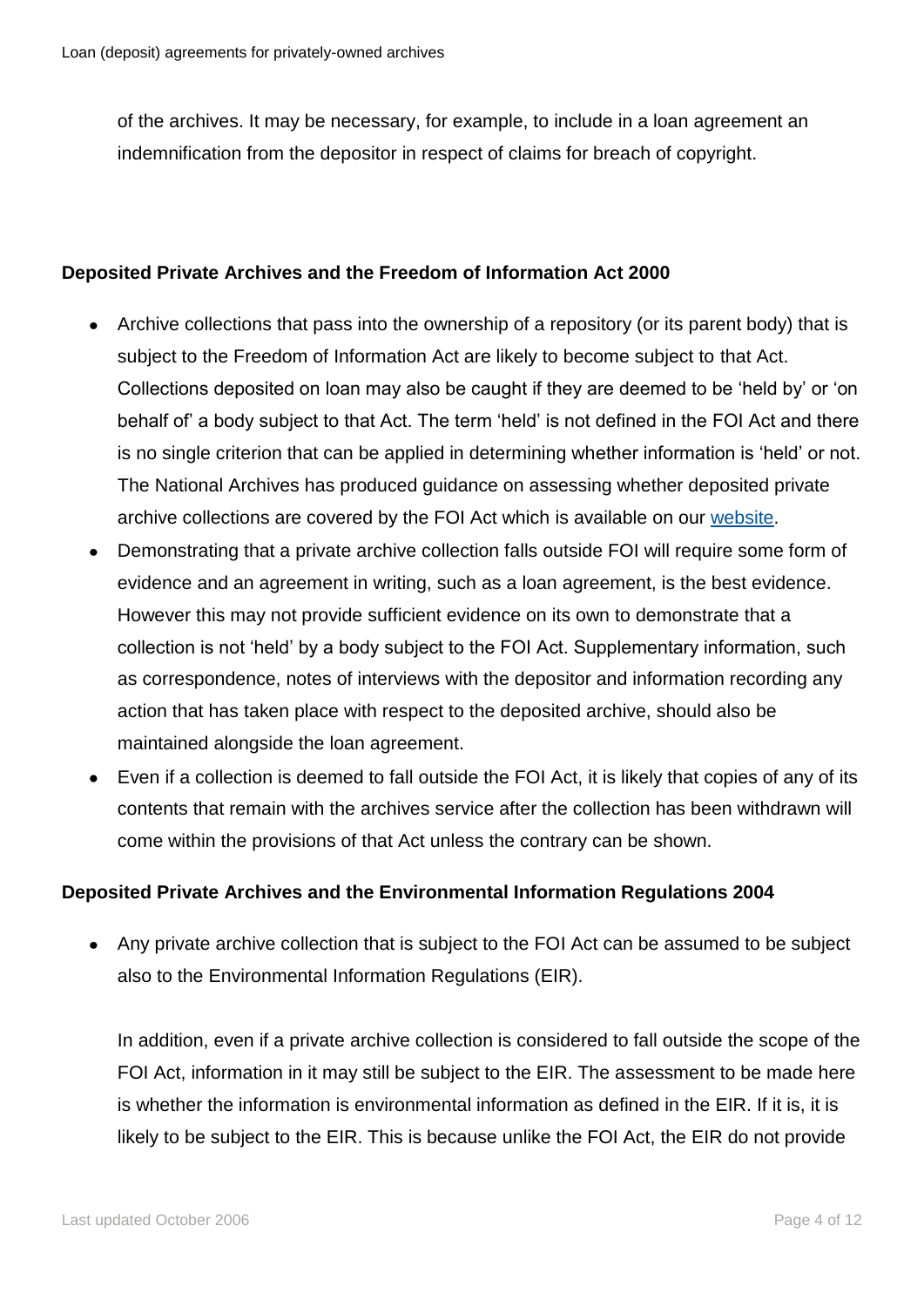of the archives. It may be necessary, for example, to include in a loan agreement an indemnification from the depositor in respect of claims for breach of copyright.

#### **Deposited Private Archives and the Freedom of Information Act 2000**

- Archive collections that pass into the ownership of a repository (or its parent body) that is subject to the Freedom of Information Act are likely to become subject to that Act. Collections deposited on loan may also be caught if they are deemed to be 'held by' or 'on behalf of' a body subject to that Act. The term 'held' is not defined in the FOI Act and there is no single criterion that can be applied in determining whether information is 'held' or not. The National Archives has produced guidance on assessing whether deposited private archive collections are covered by the FOI Act which is available on our [website.](http://www.nationalarchives.gov.uk/documents/information-management/guidance_private_archives.pdf)
- Demonstrating that a private archive collection falls outside FOI will require some form of  $\bullet$ evidence and an agreement in writing, such as a loan agreement, is the best evidence. However this may not provide sufficient evidence on its own to demonstrate that a collection is not 'held' by a body subject to the FOI Act. Supplementary information, such as correspondence, notes of interviews with the depositor and information recording any action that has taken place with respect to the deposited archive, should also be maintained alongside the loan agreement.
- Even if a collection is deemed to fall outside the FOI Act, it is likely that copies of any of its contents that remain with the archives service after the collection has been withdrawn will come within the provisions of that Act unless the contrary can be shown.

#### **Deposited Private Archives and the Environmental Information Regulations 2004**

Any private archive collection that is subject to the FOI Act can be assumed to be subject also to the Environmental Information Regulations (EIR).

In addition, even if a private archive collection is considered to fall outside the scope of the FOI Act, information in it may still be subject to the EIR. The assessment to be made here is whether the information is environmental information as defined in the EIR. If it is, it is likely to be subject to the EIR. This is because unlike the FOI Act, the EIR do not provide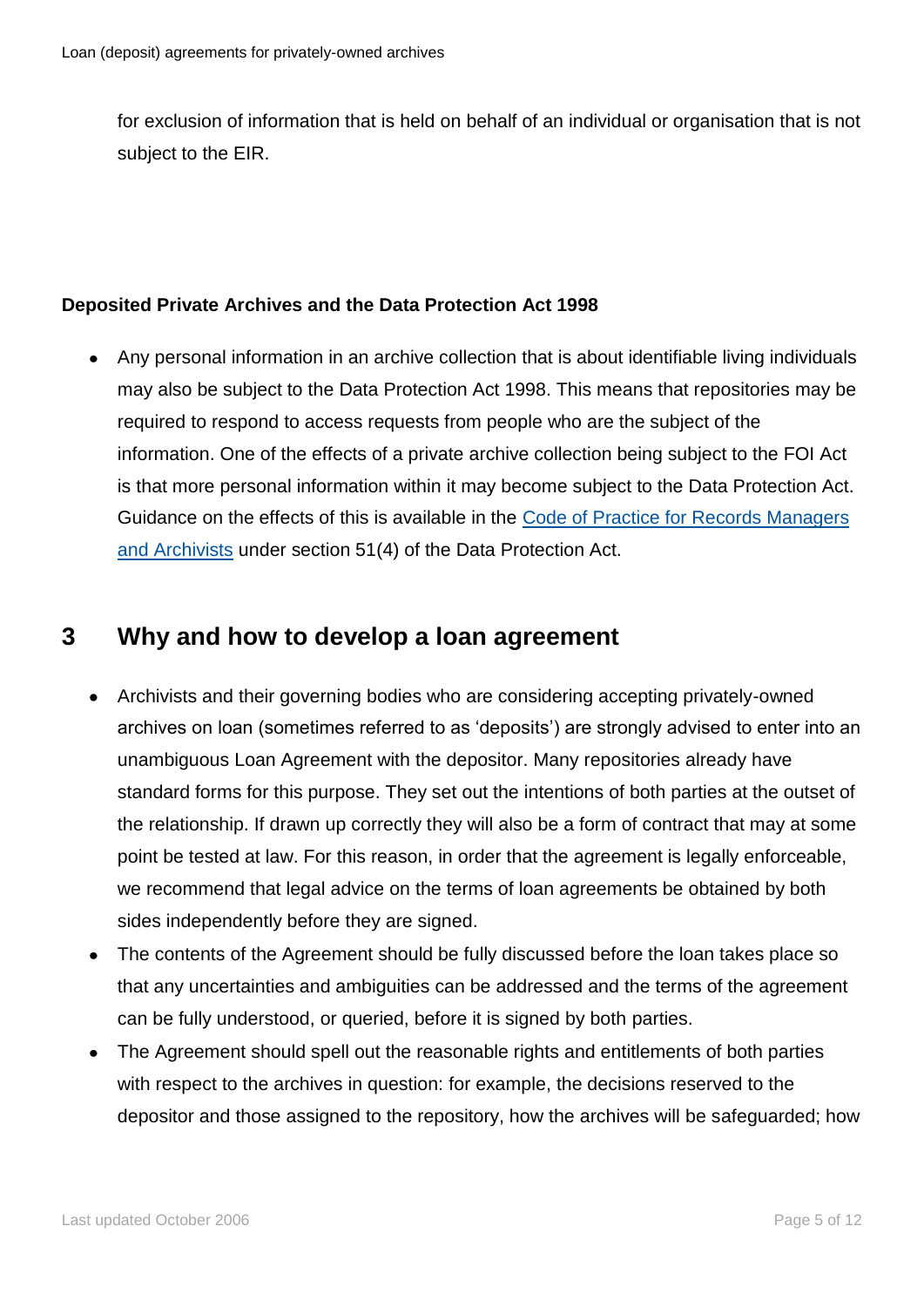for exclusion of information that is held on behalf of an individual or organisation that is not subject to the EIR.

#### **Deposited Private Archives and the Data Protection Act 1998**

Any personal information in an archive collection that is about identifiable living individuals  $\bullet$ may also be subject to the Data Protection Act 1998. This means that repositories may be required to respond to access requests from people who are the subject of the information. One of the effects of a private archive collection being subject to the FOI Act is that more personal information within it may become subject to the Data Protection Act. Guidance on the effects of this is available in the [Code of Practice for Records Managers](http://www.nationalarchives.gov.uk/documents/information-management/dp-code-of-practice.pdf)  [and Archivists](http://www.nationalarchives.gov.uk/documents/information-management/dp-code-of-practice.pdf) under section 51(4) of the Data Protection Act.

## <span id="page-4-0"></span>**3 Why and how to develop a loan agreement**

- Archivists and their governing bodies who are considering accepting privately-owned archives on loan (sometimes referred to as 'deposits') are strongly advised to enter into an unambiguous Loan Agreement with the depositor. Many repositories already have standard forms for this purpose. They set out the intentions of both parties at the outset of the relationship. If drawn up correctly they will also be a form of contract that may at some point be tested at law. For this reason, in order that the agreement is legally enforceable, we recommend that legal advice on the terms of loan agreements be obtained by both sides independently before they are signed.
- The contents of the Agreement should be fully discussed before the loan takes place so that any uncertainties and ambiguities can be addressed and the terms of the agreement can be fully understood, or queried, before it is signed by both parties.
- The Agreement should spell out the reasonable rights and entitlements of both parties with respect to the archives in question: for example, the decisions reserved to the depositor and those assigned to the repository, how the archives will be safeguarded; how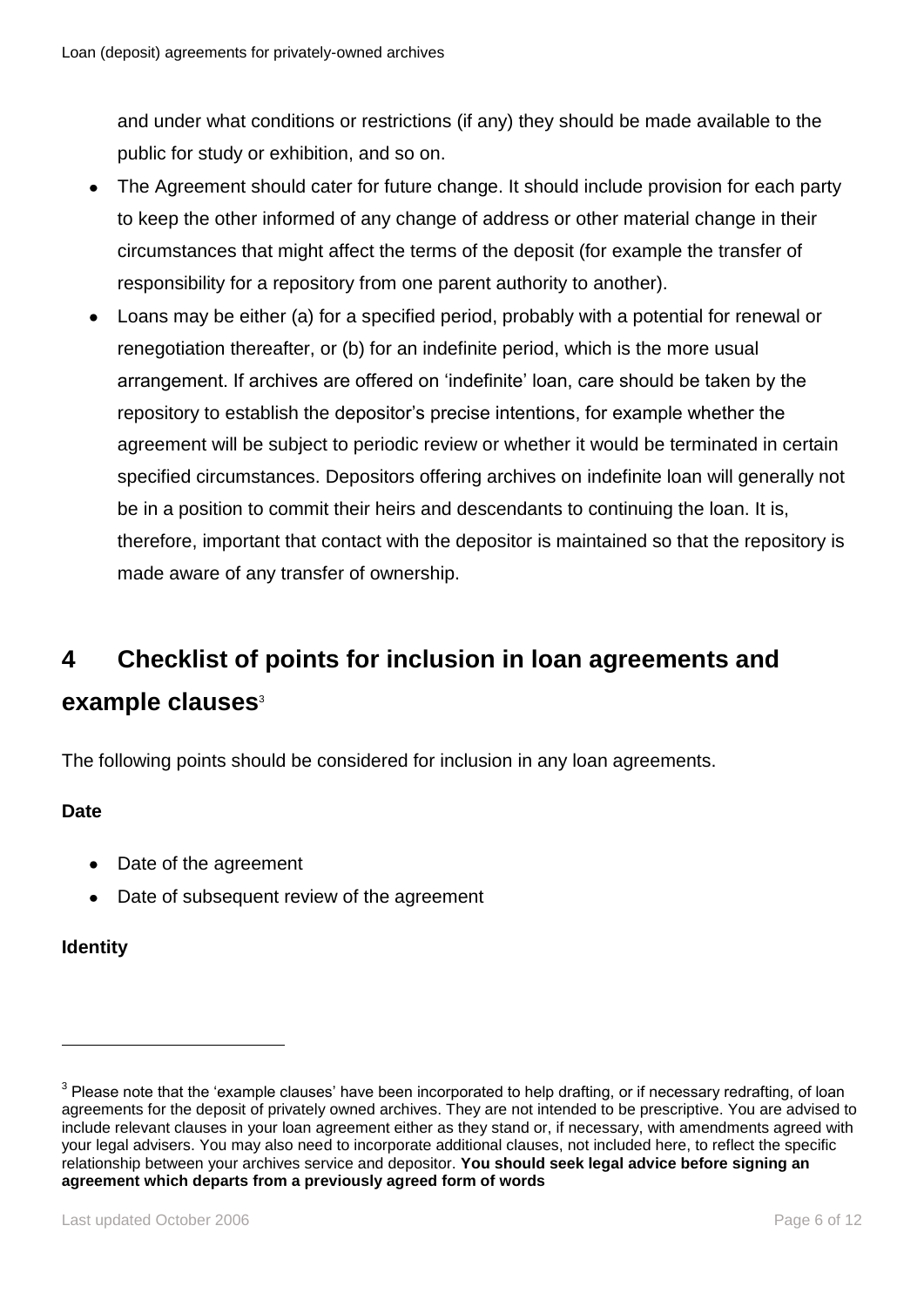and under what conditions or restrictions (if any) they should be made available to the public for study or exhibition, and so on.

- The Agreement should cater for future change. It should include provision for each party to keep the other informed of any change of address or other material change in their circumstances that might affect the terms of the deposit (for example the transfer of responsibility for a repository from one parent authority to another).
- Loans may be either (a) for a specified period, probably with a potential for renewal or  $\bullet$ renegotiation thereafter, or (b) for an indefinite period, which is the more usual arrangement. If archives are offered on 'indefinite' loan, care should be taken by the repository to establish the depositor's precise intentions, for example whether the agreement will be subject to periodic review or whether it would be terminated in certain specified circumstances. Depositors offering archives on indefinite loan will generally not be in a position to commit their heirs and descendants to continuing the loan. It is, therefore, important that contact with the depositor is maintained so that the repository is made aware of any transfer of ownership.

# <span id="page-5-0"></span>**4 Checklist of points for inclusion in loan agreements and example clauses**<sup>3</sup>

The following points should be considered for inclusion in any loan agreements.

#### **Date**

- Date of the agreement
- Date of subsequent review of the agreement

#### **Identity**

 $3$  Please note that the 'example clauses' have been incorporated to help drafting, or if necessary redrafting, of loan agreements for the deposit of privately owned archives. They are not intended to be prescriptive. You are advised to include relevant clauses in your loan agreement either as they stand or, if necessary, with amendments agreed with your legal advisers. You may also need to incorporate additional clauses, not included here, to reflect the specific relationship between your archives service and depositor. **You should seek legal advice before signing an agreement which departs from a previously agreed form of words**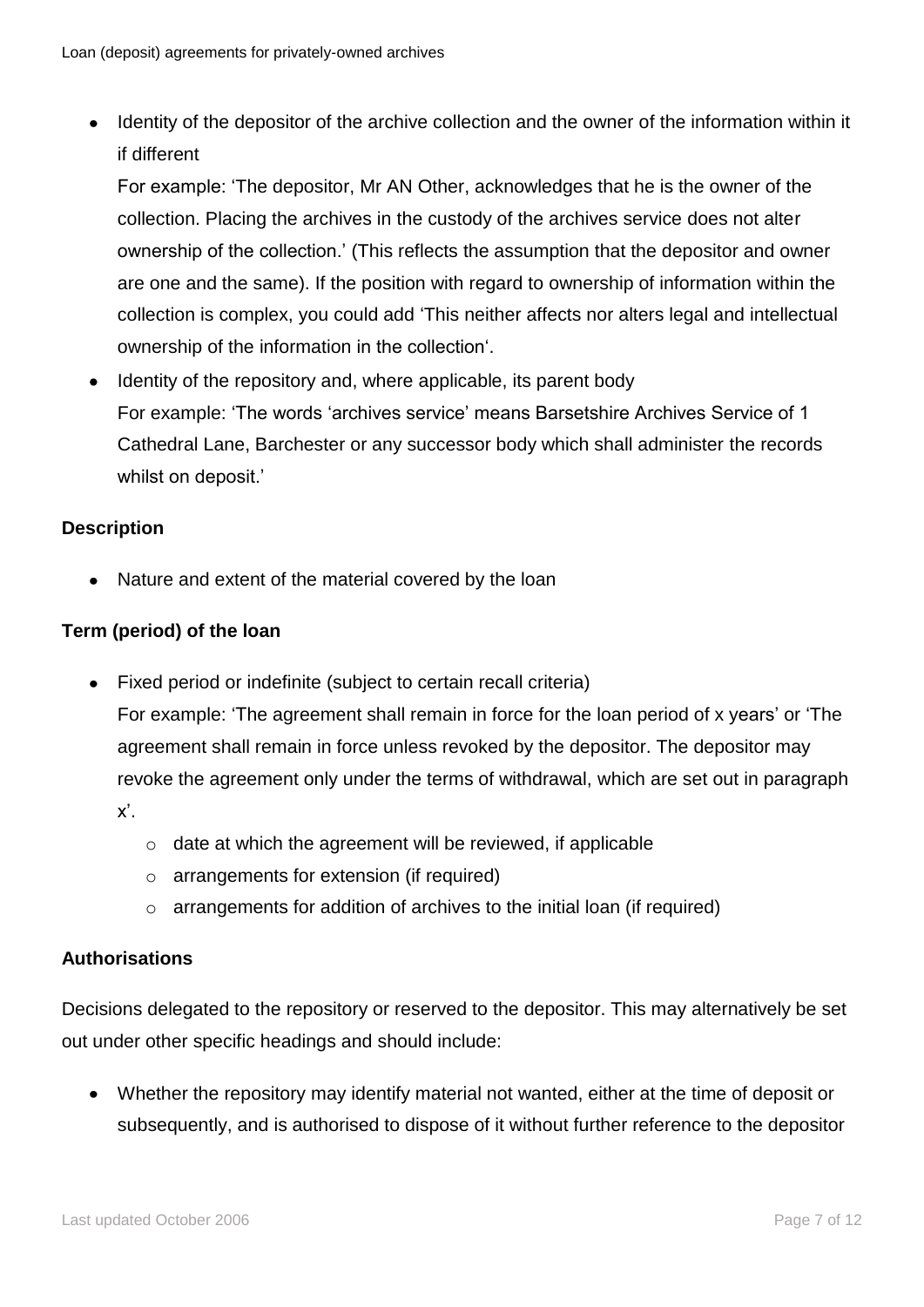• Identity of the depositor of the archive collection and the owner of the information within it if different

For example: 'The depositor, Mr AN Other, acknowledges that he is the owner of the collection. Placing the archives in the custody of the archives service does not alter ownership of the collection.' (This reflects the assumption that the depositor and owner are one and the same). If the position with regard to ownership of information within the collection is complex, you could add 'This neither affects nor alters legal and intellectual ownership of the information in the collection'.

• Identity of the repository and, where applicable, its parent body For example: 'The words 'archives service' means Barsetshire Archives Service of 1 Cathedral Lane, Barchester or any successor body which shall administer the records whilst on deposit.'

#### **Description**

Nature and extent of the material covered by the loan

#### **Term (period) of the loan**

- Fixed period or indefinite (subject to certain recall criteria) For example: 'The agreement shall remain in force for the loan period of x years' or 'The agreement shall remain in force unless revoked by the depositor. The depositor may revoke the agreement only under the terms of withdrawal, which are set out in paragraph x'.
	- o date at which the agreement will be reviewed, if applicable
	- o arrangements for extension (if required)
	- o arrangements for addition of archives to the initial loan (if required)

#### **Authorisations**

Decisions delegated to the repository or reserved to the depositor. This may alternatively be set out under other specific headings and should include:

Whether the repository may identify material not wanted, either at the time of deposit or subsequently, and is authorised to dispose of it without further reference to the depositor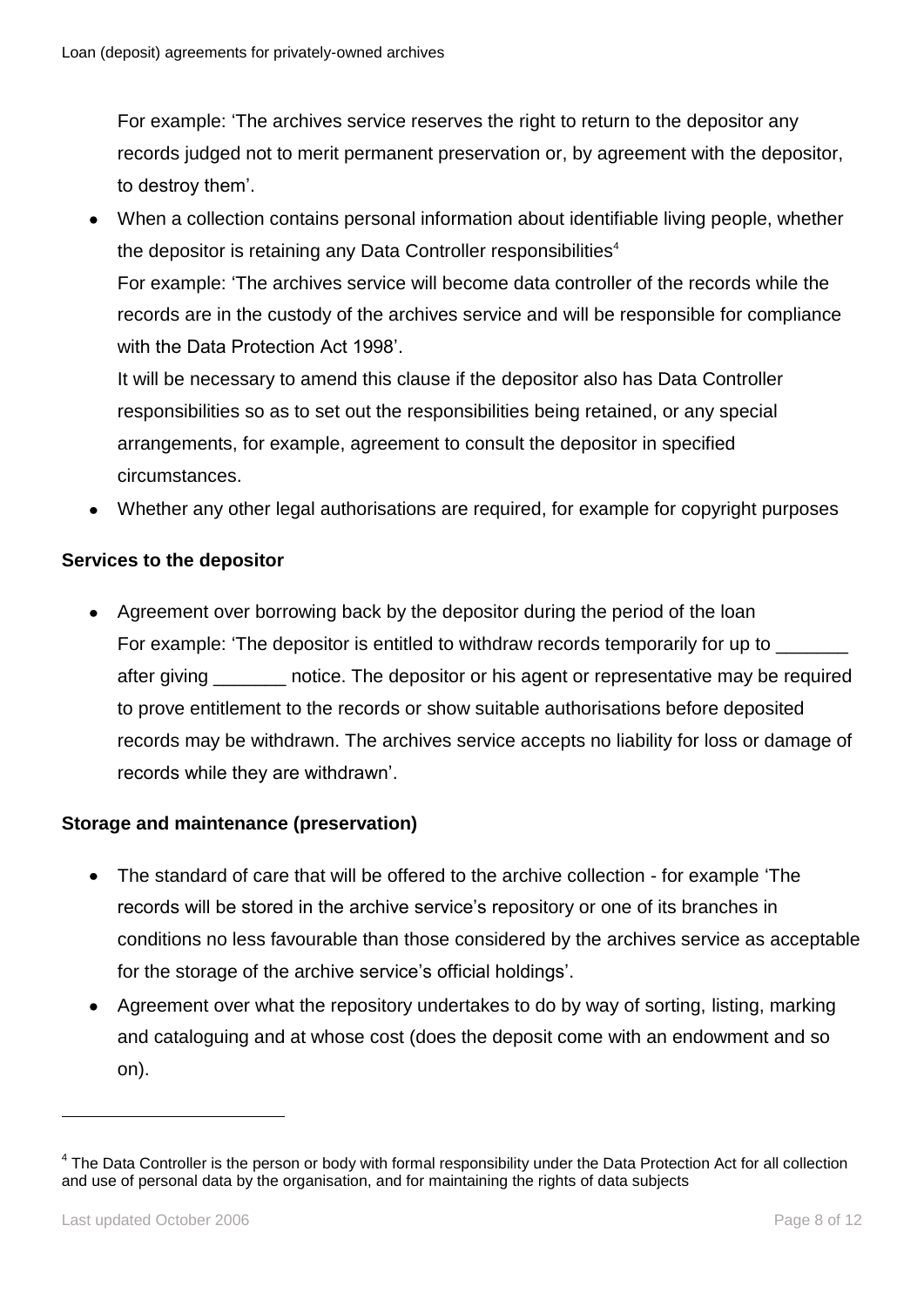For example: 'The archives service reserves the right to return to the depositor any records judged not to merit permanent preservation or, by agreement with the depositor, to destroy them'.

When a collection contains personal information about identifiable living people, whether  $\bullet$ the depositor is retaining any Data Controller responsibilities<sup>4</sup> For example: 'The archives service will become data controller of the records while the records are in the custody of the archives service and will be responsible for compliance with the Data Protection Act 1998'.

It will be necessary to amend this clause if the depositor also has Data Controller responsibilities so as to set out the responsibilities being retained, or any special arrangements, for example, agreement to consult the depositor in specified circumstances.

Whether any other legal authorisations are required, for example for copyright purposes

#### **Services to the depositor**

Agreement over borrowing back by the depositor during the period of the loan For example: 'The depositor is entitled to withdraw records temporarily for up to after giving \_\_\_\_\_\_\_ notice. The depositor or his agent or representative may be required to prove entitlement to the records or show suitable authorisations before deposited records may be withdrawn. The archives service accepts no liability for loss or damage of records while they are withdrawn'.

#### **Storage and maintenance (preservation)**

- The standard of care that will be offered to the archive collection for example 'The records will be stored in the archive service's repository or one of its branches in conditions no less favourable than those considered by the archives service as acceptable for the storage of the archive service's official holdings'.
- Agreement over what the repository undertakes to do by way of sorting, listing, marking and cataloguing and at whose cost (does the deposit come with an endowment and so on).

<sup>&</sup>lt;sup>4</sup> The Data Controller is the person or body with formal responsibility under the Data Protection Act for all collection and use of personal data by the organisation, and for maintaining the rights of data subjects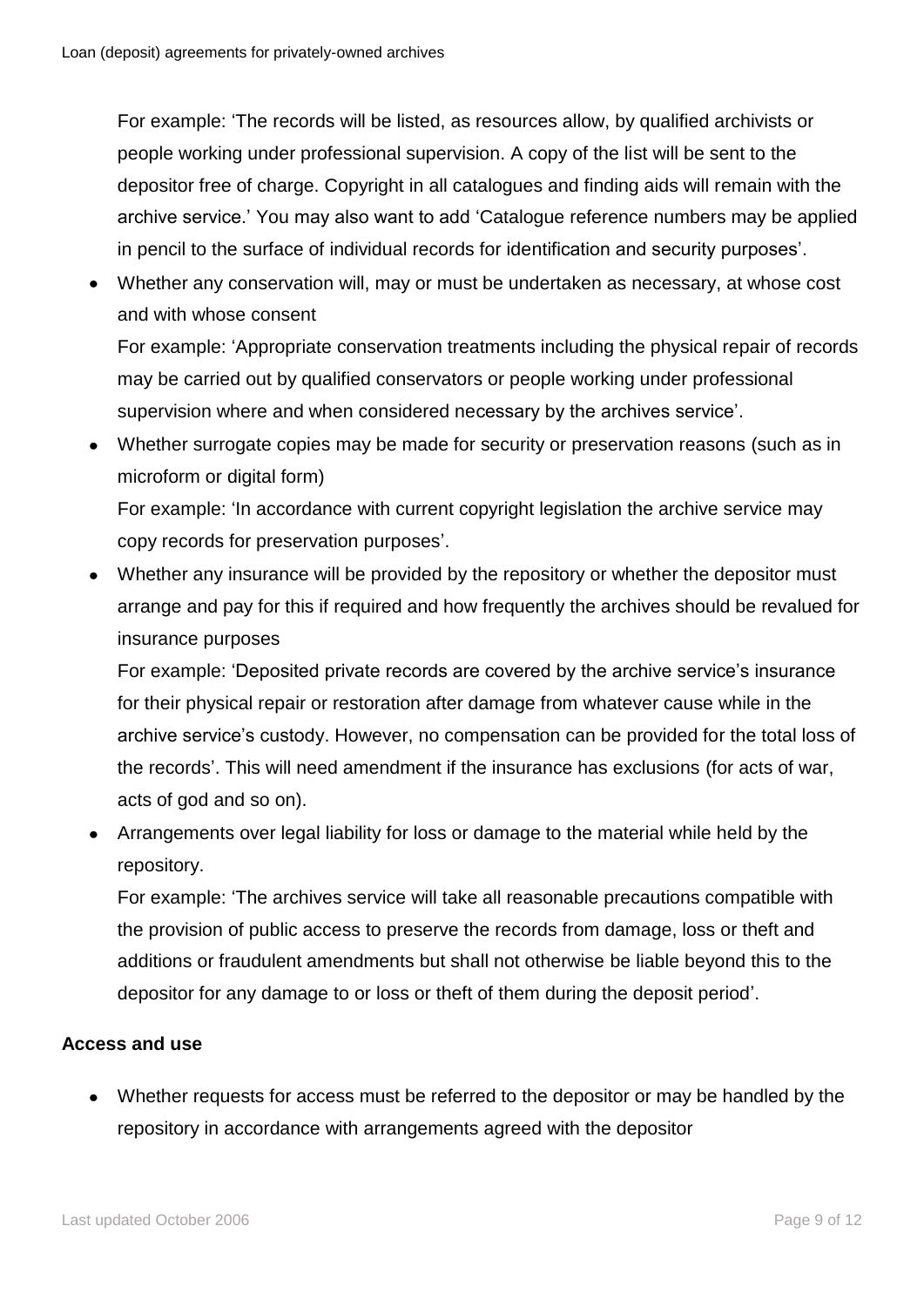For example: 'The records will be listed, as resources allow, by qualified archivists or people working under professional supervision. A copy of the list will be sent to the depositor free of charge. Copyright in all catalogues and finding aids will remain with the archive service.' You may also want to add 'Catalogue reference numbers may be applied in pencil to the surface of individual records for identification and security purposes'.

Whether any conservation will, may or must be undertaken as necessary, at whose cost and with whose consent

For example: 'Appropriate conservation treatments including the physical repair of records may be carried out by qualified conservators or people working under professional supervision where and when considered necessary by the archives service'.

Whether surrogate copies may be made for security or preservation reasons (such as in microform or digital form)

For example: 'In accordance with current copyright legislation the archive service may copy records for preservation purposes'.

Whether any insurance will be provided by the repository or whether the depositor must arrange and pay for this if required and how frequently the archives should be revalued for insurance purposes

For example: 'Deposited private records are covered by the archive service's insurance for their physical repair or restoration after damage from whatever cause while in the archive service's custody. However, no compensation can be provided for the total loss of the records'. This will need amendment if the insurance has exclusions (for acts of war, acts of god and so on).

Arrangements over legal liability for loss or damage to the material while held by the repository.

For example: 'The archives service will take all reasonable precautions compatible with the provision of public access to preserve the records from damage, loss or theft and additions or fraudulent amendments but shall not otherwise be liable beyond this to the depositor for any damage to or loss or theft of them during the deposit period'.

#### **Access and use**

• Whether requests for access must be referred to the depositor or may be handled by the repository in accordance with arrangements agreed with the depositor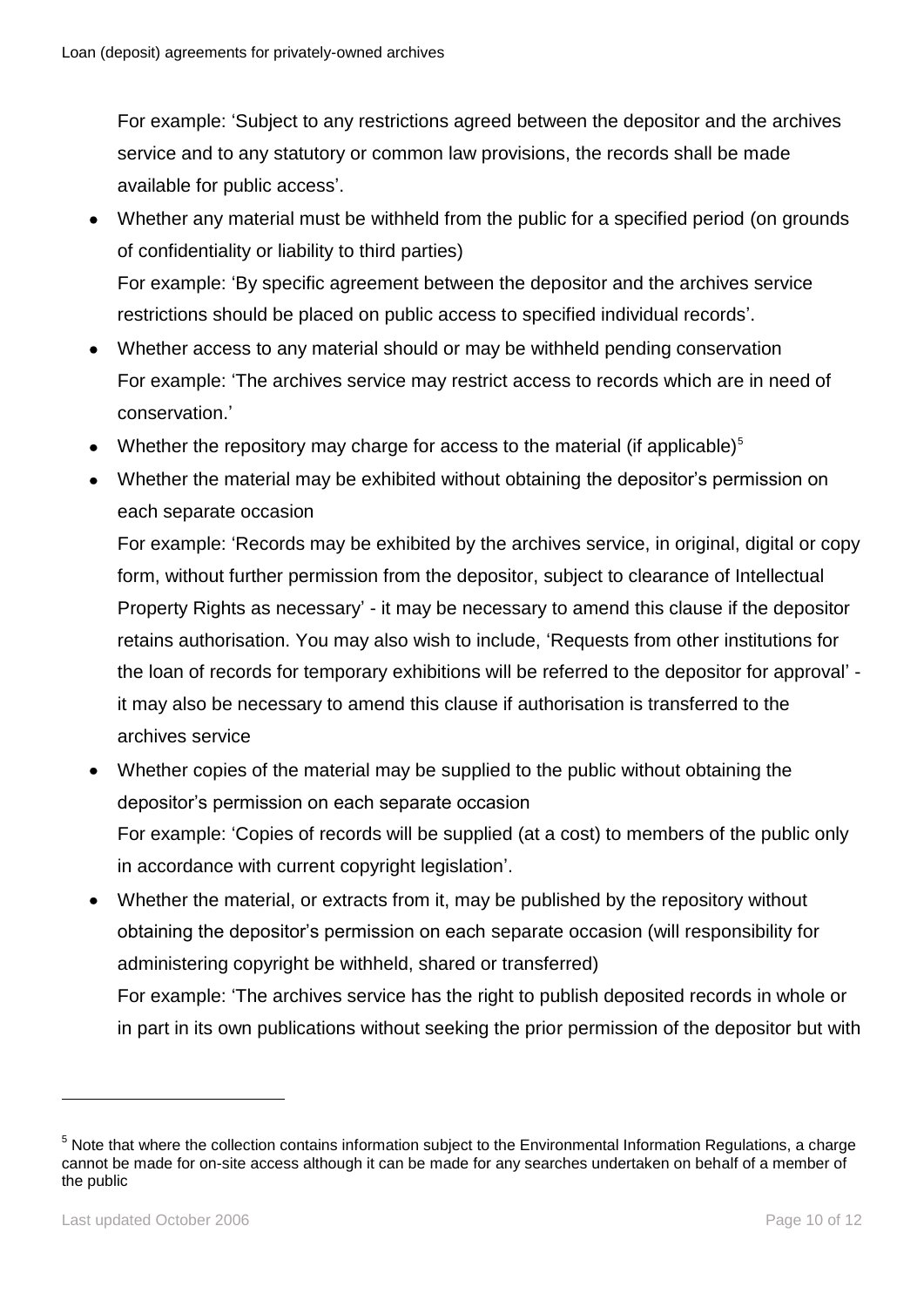For example: 'Subject to any restrictions agreed between the depositor and the archives service and to any statutory or common law provisions, the records shall be made available for public access'.

- Whether any material must be withheld from the public for a specified period (on grounds of confidentiality or liability to third parties) For example: 'By specific agreement between the depositor and the archives service restrictions should be placed on public access to specified individual records'.
- Whether access to any material should or may be withheld pending conservation For example: 'The archives service may restrict access to records which are in need of conservation.'
- Whether the repository may charge for access to the material (if applicable) $5$
- Whether the material may be exhibited without obtaining the depositor's permission on  $\bullet$ each separate occasion

For example: 'Records may be exhibited by the archives service, in original, digital or copy form, without further permission from the depositor, subject to clearance of Intellectual Property Rights as necessary' - it may be necessary to amend this clause if the depositor retains authorisation. You may also wish to include, 'Requests from other institutions for the loan of records for temporary exhibitions will be referred to the depositor for approval' it may also be necessary to amend this clause if authorisation is transferred to the archives service

- Whether copies of the material may be supplied to the public without obtaining the depositor's permission on each separate occasion For example: 'Copies of records will be supplied (at a cost) to members of the public only in accordance with current copyright legislation'.
- Whether the material, or extracts from it, may be published by the repository without  $\bullet$ obtaining the depositor's permission on each separate occasion (will responsibility for administering copyright be withheld, shared or transferred) For example: 'The archives service has the right to publish deposited records in whole or

in part in its own publications without seeking the prior permission of the depositor but with

 $5$  Note that where the collection contains information subject to the Environmental Information Regulations, a charge cannot be made for on-site access although it can be made for any searches undertaken on behalf of a member of the public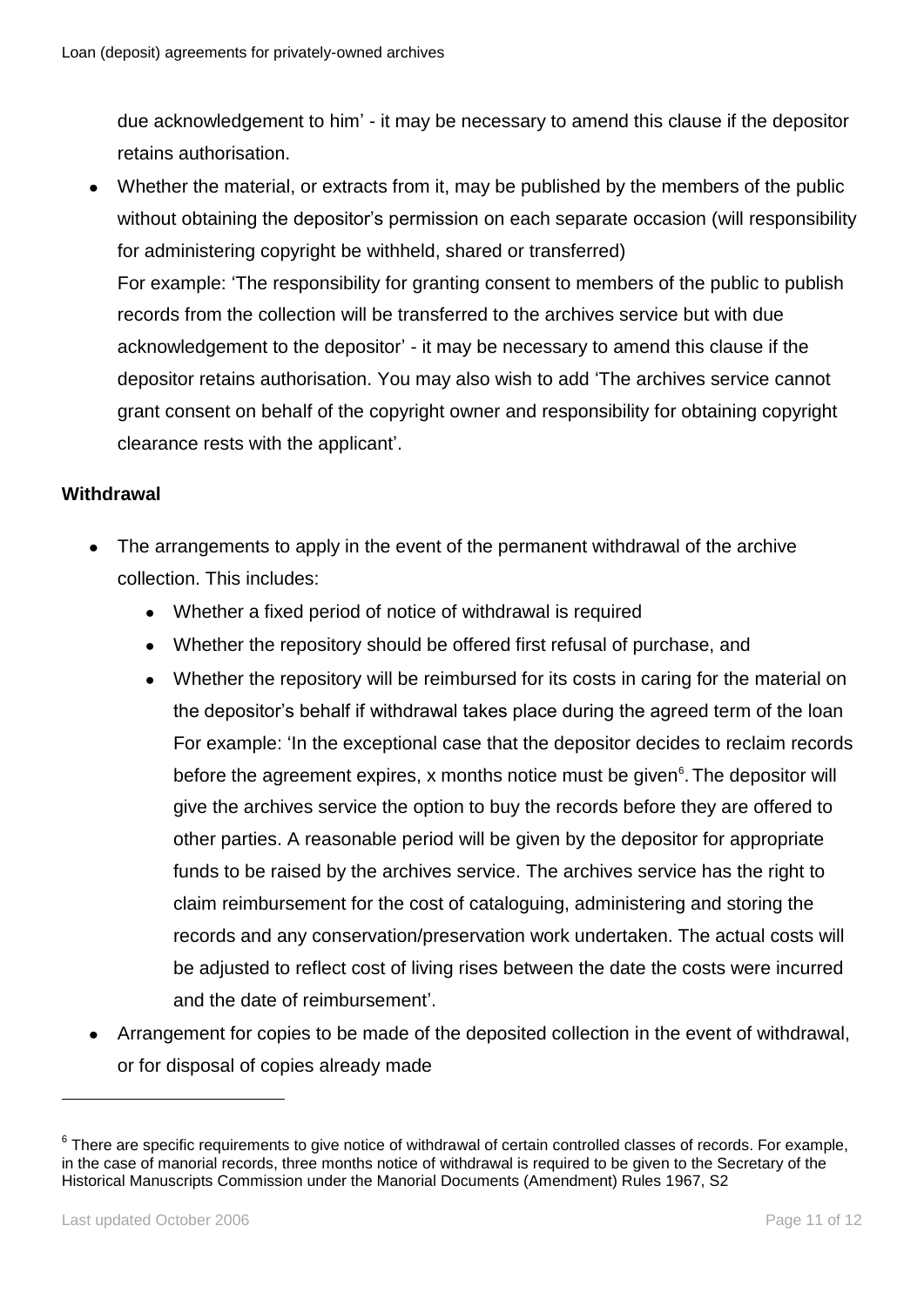due acknowledgement to him' - it may be necessary to amend this clause if the depositor retains authorisation.

Whether the material, or extracts from it, may be published by the members of the public  $\bullet$ without obtaining the depositor's permission on each separate occasion (will responsibility for administering copyright be withheld, shared or transferred) For example: 'The responsibility for granting consent to members of the public to publish records from the collection will be transferred to the archives service but with due acknowledgement to the depositor' - it may be necessary to amend this clause if the depositor retains authorisation. You may also wish to add 'The archives service cannot grant consent on behalf of the copyright owner and responsibility for obtaining copyright clearance rests with the applicant'.

#### **Withdrawal**

- The arrangements to apply in the event of the permanent withdrawal of the archive collection. This includes:
	- Whether a fixed period of notice of withdrawal is required
	- Whether the repository should be offered first refusal of purchase, and
	- Whether the repository will be reimbursed for its costs in caring for the material on the depositor's behalf if withdrawal takes place during the agreed term of the loan For example: 'In the exceptional case that the depositor decides to reclaim records before the agreement expires, x months notice must be given<sup>6</sup>. The depositor will give the archives service the option to buy the records before they are offered to other parties. A reasonable period will be given by the depositor for appropriate funds to be raised by the archives service. The archives service has the right to claim reimbursement for the cost of cataloguing, administering and storing the records and any conservation/preservation work undertaken. The actual costs will be adjusted to reflect cost of living rises between the date the costs were incurred and the date of reimbursement'.
- Arrangement for copies to be made of the deposited collection in the event of withdrawal,  $\bullet$ or for disposal of copies already made

 $^6$  There are specific requirements to give notice of withdrawal of certain controlled classes of records. For example, in the case of manorial records, three months notice of withdrawal is required to be given to the Secretary of the Historical Manuscripts Commission under the Manorial Documents (Amendment) Rules 1967, S2